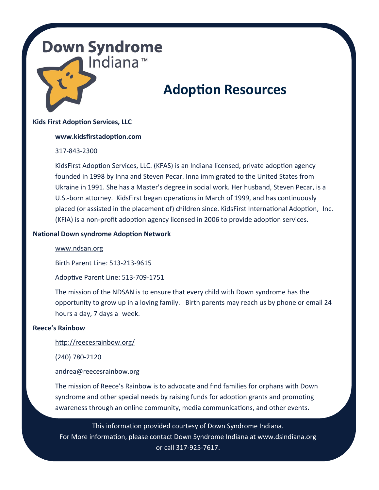## **Down Syndrome** Indiana<sup>™</sup>

# **Adoption Resources**

## **Kids First Adoption Services, LLC**

#### **[www.kidsfirstadoption.com](http://www.kidsfirstadoption.com)**

## 317-843-2300

KidsFirst Adoption Services, LLC. (KFAS) is an Indiana licensed, private adoption agency founded in 1998 by Inna and Steven Pecar. Inna immigrated to the United States from Ukraine in 1991. She has a Master's degree in social work. Her husband, Steven Pecar, is a U.S.-born attorney. KidsFirst began operations in March of 1999, and has continuously placed (or assisted in the placement of) children since. KidsFirst International Adoption, Inc. (KFIA) is a non-profit adoption agency licensed in 2006 to provide adoption services.

#### **National Down syndrome Adoption Network**

#### [www.ndsan.org](file://///DSI-PC1/DSI%20Shared%20Documents/Parent%20Support%20and%20Education/Resources/www.ndsan.org)

Birth Parent Line: 513-213-9615

Adoptive Parent Line: 513-709-1751

The mission of the NDSAN is to ensure that every child with Down syndrome has the opportunity to grow up in a loving family. Birth parents may reach us by phone or email 24 hours a day, 7 days a week.

#### **Reece's Rainbow**

#### <http://reecesrainbow.org/>

(240) 780-2120

## [andrea@reecesrainbow.org](mailto:andrea@reecesrainbow.org)

The mission of Reece's Rainbow is to advocate and find families for orphans with Down syndrome and other special needs by raising funds for adoption grants and promoting awareness through an online community, media communications, and other events.

This information provided courtesy of Down Syndrome Indiana. For More information, please contact Down Syndrome Indiana at www.dsindiana.org or call 317-925-7617.